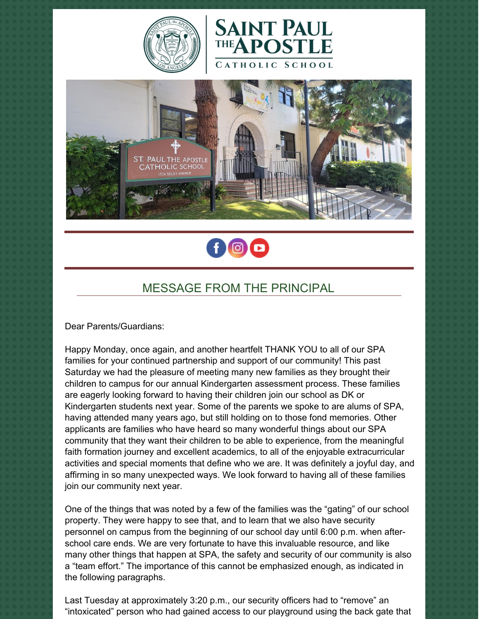







# MESSAGE FROM THE PRINCIPAL

Dear Parents/Guardians:

Happy Monday, once again, and another heartfelt THANK YOU to all of our SPA families for your continued partnership and support of our community! This past Saturday we had the pleasure of meeting many new families as they brought their children to campus for our annual Kindergarten assessment process. These families are eagerly looking forward to having their children join our school as DK or Kindergarten students next year. Some of the parents we spoke to are alums of SPA, having attended many years ago, but still holding on to those fond memories. Other applicants are families who have heard so many wonderful things about our SPA community that they want their children to be able to experience, from the meaningful faith formation journey and excellent academics, to all of the enjoyable extracurricular activities and special moments that define who we are. It was definitely a joyful day, and affirming in so many unexpected ways. We look forward to having all of these families join our community next year.

One of the things that was noted by a few of the families was the "gating" of our school property. They were happy to see that, and to learn that we also have security personnel on campus from the beginning of our school day until 6:00 p.m. when afterschool care ends. We are very fortunate to have this invaluable resource, and like many other things that happen at SPA, the safety and security of our community is also a "team effort." The importance of this cannot be emphasized enough, as indicated in the following paragraphs.

Last Tuesday at approximately 3:20 p.m., our security officers had to "remove" an "intoxicated" person who had gained access to our playground using the back gate that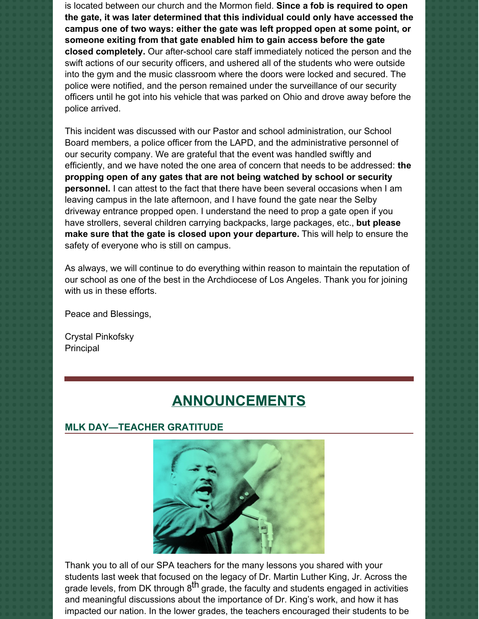is located between our church and the Mormon field. **Since a fob is required to open the gate, it was later determined that this individual could only have accessed the campus one of two ways: either the gate was left propped open at some point, or someone exiting from that gate enabled him to gain access before the gate closed completely.** Our after-school care staff immediately noticed the person and the swift actions of our security officers, and ushered all of the students who were outside into the gym and the music classroom where the doors were locked and secured. The police were notified, and the person remained under the surveillance of our security officers until he got into his vehicle that was parked on Ohio and drove away before the police arrived.

This incident was discussed with our Pastor and school administration, our School Board members, a police officer from the LAPD, and the administrative personnel of our security company. We are grateful that the event was handled swiftly and efficiently, and we have noted the one area of concern that needs to be addressed: **the propping open of any gates that are not being watched by school or security personnel.** I can attest to the fact that there have been several occasions when I am leaving campus in the late afternoon, and I have found the gate near the Selby driveway entrance propped open. I understand the need to prop a gate open if you have strollers, several children carrying backpacks, large packages, etc., **but please make sure that the gate is closed upon your departure.** This will help to ensure the safety of everyone who is still on campus.

As always, we will continue to do everything within reason to maintain the reputation of our school as one of the best in the Archdiocese of Los Angeles. Thank you for joining with us in these efforts.

Peace and Blessings,

Crystal Pinkofsky Principal

# **ANNOUNCEMENTS**

### **MLK DAY—TEACHER GRATITUDE**



Thank you to all of our SPA teachers for the many lessons you shared with your students last week that focused on the legacy of Dr. Martin Luther King, Jr. Across the grade levels, from DK through  $8^{\text{th}}$  grade, the faculty and students engaged in activities and meaningful discussions about the importance of Dr. King's work, and how it has impacted our nation. In the lower grades, the teachers encouraged their students to be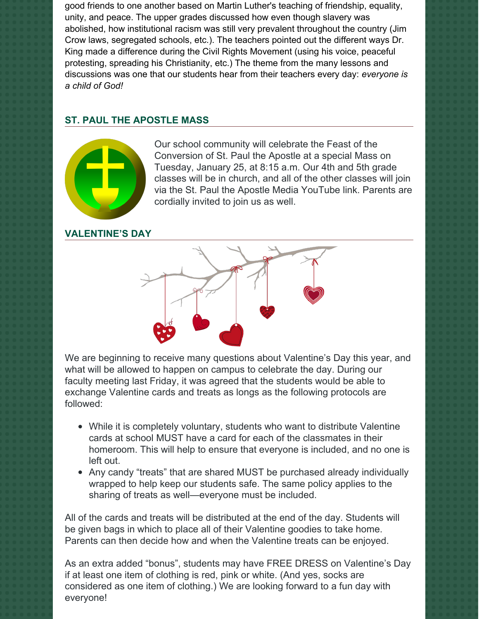good friends to one another based on Martin Luther's teaching of friendship, equality, unity, and peace. The upper grades discussed how even though slavery was abolished, how institutional racism was still very prevalent throughout the country (Jim Crow laws, segregated schools, etc.). The teachers pointed out the different ways Dr. King made a difference during the Civil Rights Movement (using his voice, peaceful protesting, spreading his Christianity, etc.) The theme from the many lessons and discussions was one that our students hear from their teachers every day: *everyone is a child of God!*

## **ST. PAUL THE APOSTLE MASS**



Our school community will celebrate the Feast of the Conversion of St. Paul the Apostle at a special Mass on Tuesday, January 25, at 8:15 a.m. Our 4th and 5th grade classes will be in church, and all of the other classes will join via the St. Paul the Apostle Media YouTube link. Parents are cordially invited to join us as well.

#### **VALENTINE'S DAY**



We are beginning to receive many questions about Valentine's Day this year, and what will be allowed to happen on campus to celebrate the day. During our faculty meeting last Friday, it was agreed that the students would be able to exchange Valentine cards and treats as longs as the following protocols are followed:

- While it is completely voluntary, students who want to distribute Valentine cards at school MUST have a card for each of the classmates in their homeroom. This will help to ensure that everyone is included, and no one is left out.
- Any candy "treats" that are shared MUST be purchased already individually wrapped to help keep our students safe. The same policy applies to the sharing of treats as well—everyone must be included.

All of the cards and treats will be distributed at the end of the day. Students will be given bags in which to place all of their Valentine goodies to take home. Parents can then decide how and when the Valentine treats can be enjoyed.

As an extra added "bonus", students may have FREE DRESS on Valentine's Day if at least one item of clothing is red, pink or white. (And yes, socks are considered as one item of clothing.) We are looking forward to a fun day with everyone!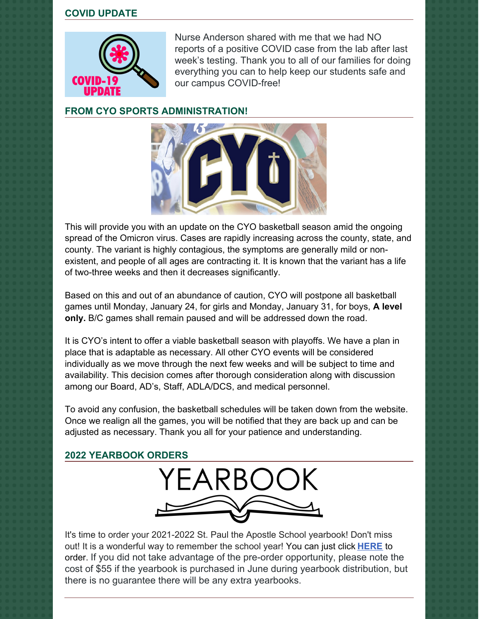#### **COVID UPDATE**



Nurse Anderson shared with me that we had NO reports of a positive COVID case from the lab after last week's testing. Thank you to all of our families for doing everything you can to help keep our students safe and our campus COVID-free!

#### **FROM CYO SPORTS ADMINISTRATION!**



This will provide you with an update on the CYO basketball season amid the ongoing spread of the Omicron virus. Cases are rapidly increasing across the county, state, and county. The variant is highly contagious, the symptoms are generally mild or nonexistent, and people of all ages are contracting it. It is known that the variant has a life of two-three weeks and then it decreases significantly.

Based on this and out of an abundance of caution, CYO will postpone all basketball games until Monday, January 24, for girls and Monday, January 31, for boys, **A level only.** B/C games shall remain paused and will be addressed down the road.

It is CYO's intent to offer a viable basketball season with playoffs. We have a plan in place that is adaptable as necessary. All other CYO events will be considered individually as we move through the next few weeks and will be subject to time and availability. This decision comes after thorough consideration along with discussion among our Board, AD's, Staff, ADLA/DCS, and medical personnel.

To avoid any confusion, the basketball schedules will be taken down from the website. Once we realign all the games, you will be notified that they are back up and can be adjusted as necessary. Thank you all for your patience and understanding.

### **2022 YEARBOOK ORDERS**



It's time to order your 2021-2022 St. Paul the Apostle School yearbook! Don't miss out! It is a wonderful way to remember the school year! You can just click **[HERE](https://www.prestoregister.com/cgi-bin/order.pl?ref=spapostle_school&fm=3)** to order. If you did not take advantage of the pre-order opportunity, please note the cost of \$55 if the yearbook is purchased in June during yearbook distribution, but there is no guarantee there will be any extra yearbooks.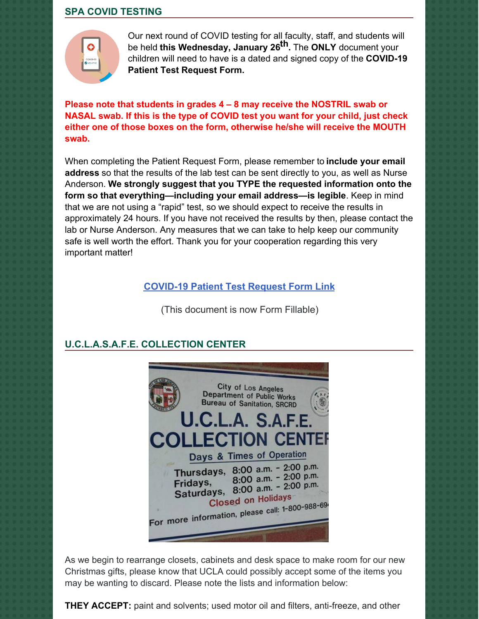#### **SPA COVID TESTING**



Our next round of COVID testing for all faculty, staff, and students will be held **this Wednesday, January 26 th.** The **ONLY** document your children will need to have is a dated and signed copy of the **COVID-19 Patient Test Request Form.**

**Please note that students in grades 4 – 8 may receive the NOSTRIL swab or NASAL swab. If this is the type of COVID test you want for your child, just check either one of those boxes on the form, otherwise he/she will receive the MOUTH swab.**

When completing the Patient Request Form, please remember to **include your email address** so that the results of the lab test can be sent directly to you, as well as Nurse Anderson. **We strongly suggest that you TYPE the requested information onto the form so that everything—including your email address—is legible**. Keep in mind that we are not using a "rapid" test, so we should expect to receive the results in approximately 24 hours. If you have not received the results by then, please contact the lab or Nurse Anderson. Any measures that we can take to help keep our community safe is well worth the effort. Thank you for your cooperation regarding this very important matter!

#### **[COVID-19](https://school.sp-apostle.org/wp-content/uploads/2021/11/PATIENT-REQ-FORM-FILLABLE.pdf) Patient Test Request Form Link**

(This document is now Form Fillable)

#### **U.C.L.A.S.A.F.E. COLLECTION CENTER**



As we begin to rearrange closets, cabinets and desk space to make room for our new Christmas gifts, please know that UCLA could possibly accept some of the items you may be wanting to discard. Please note the lists and information below:

**THEY ACCEPT:** paint and solvents; used motor oil and filters, anti-freeze, and other